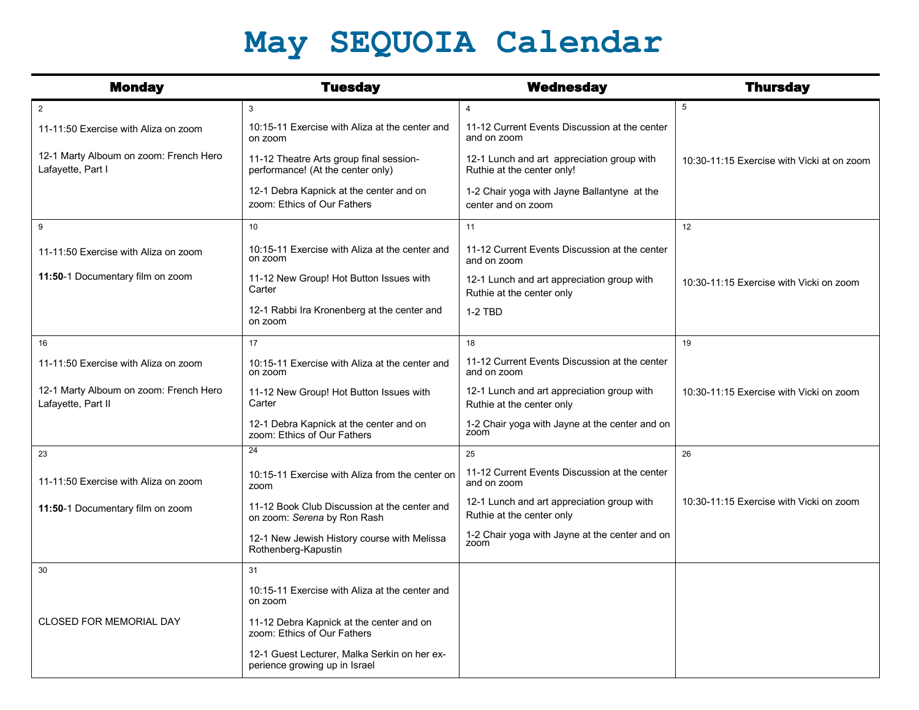## **May SEQUOIA Calendar**

| <b>Monday</b>                                                | <b>Tuesday</b>                                                                | <b>Wednesday</b>                                                         | <b>Thursday</b>                            |
|--------------------------------------------------------------|-------------------------------------------------------------------------------|--------------------------------------------------------------------------|--------------------------------------------|
| $\overline{2}$                                               | 3                                                                             | $\overline{4}$                                                           | 5                                          |
| 11-11:50 Exercise with Aliza on zoom                         | 10:15-11 Exercise with Aliza at the center and<br>on zoom                     | 11-12 Current Events Discussion at the center<br>and on zoom             |                                            |
| 12-1 Marty Alboum on zoom: French Hero<br>Lafayette, Part I  | 11-12 Theatre Arts group final session-<br>performance! (At the center only)  | 12-1 Lunch and art appreciation group with<br>Ruthie at the center only! | 10:30-11:15 Exercise with Vicki at on zoom |
|                                                              | 12-1 Debra Kapnick at the center and on<br>zoom: Ethics of Our Fathers        | 1-2 Chair yoga with Jayne Ballantyne at the<br>center and on zoom        |                                            |
| 9                                                            | 10                                                                            | 11                                                                       | 12                                         |
| 11-11:50 Exercise with Aliza on zoom                         | 10:15-11 Exercise with Aliza at the center and<br>on zoom                     | 11-12 Current Events Discussion at the center<br>and on zoom             |                                            |
| 11:50-1 Documentary film on zoom                             | 11-12 New Group! Hot Button Issues with<br>Carter                             | 12-1 Lunch and art appreciation group with<br>Ruthie at the center only  | 10:30-11:15 Exercise with Vicki on zoom    |
|                                                              | 12-1 Rabbi Ira Kronenberg at the center and<br>on zoom                        | 1-2 TBD                                                                  |                                            |
| 16                                                           | 17                                                                            | 18                                                                       | 19                                         |
| 11-11:50 Exercise with Aliza on zoom                         | 10:15-11 Exercise with Aliza at the center and<br>on zoom                     | 11-12 Current Events Discussion at the center<br>and on zoom             |                                            |
| 12-1 Marty Alboum on zoom: French Hero<br>Lafayette, Part II | 11-12 New Group! Hot Button Issues with<br>Carter                             | 12-1 Lunch and art appreciation group with<br>Ruthie at the center only  | 10:30-11:15 Exercise with Vicki on zoom    |
|                                                              | 12-1 Debra Kapnick at the center and on<br>zoom: Ethics of Our Fathers        | 1-2 Chair yoga with Jayne at the center and on<br>zoom                   |                                            |
| 23                                                           | 24                                                                            | 25                                                                       | 26                                         |
| 11-11:50 Exercise with Aliza on zoom                         | 10:15-11 Exercise with Aliza from the center on<br>zoom                       | 11-12 Current Events Discussion at the center<br>and on zoom             |                                            |
| 11:50-1 Documentary film on zoom                             | 11-12 Book Club Discussion at the center and<br>on zoom: Serena by Ron Rash   | 12-1 Lunch and art appreciation group with<br>Ruthie at the center only  | 10:30-11:15 Exercise with Vicki on zoom    |
|                                                              | 12-1 New Jewish History course with Melissa<br>Rothenberg-Kapustin            | 1-2 Chair yoga with Jayne at the center and on<br>zoom                   |                                            |
| 30                                                           | 31                                                                            |                                                                          |                                            |
|                                                              | 10:15-11 Exercise with Aliza at the center and<br>on zoom                     |                                                                          |                                            |
| <b>CLOSED FOR MEMORIAL DAY</b>                               | 11-12 Debra Kapnick at the center and on<br>zoom: Ethics of Our Fathers       |                                                                          |                                            |
|                                                              | 12-1 Guest Lecturer, Malka Serkin on her ex-<br>perience growing up in Israel |                                                                          |                                            |